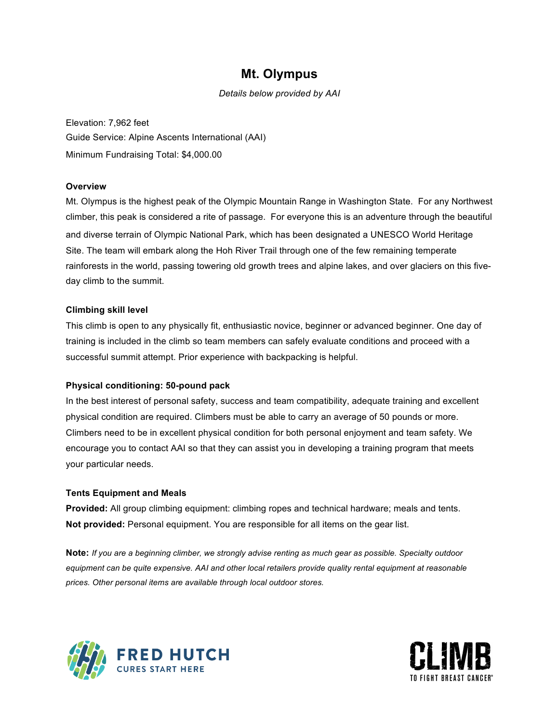# **Mt. Olympus**

*Details below provided by AAI*

Elevation: 7,962 feet Guide Service: Alpine Ascents International (AAI) Minimum Fundraising Total: \$4,000.00

### **Overview**

Mt. Olympus is the highest peak of the Olympic Mountain Range in Washington State. For any Northwest climber, this peak is considered a rite of passage. For everyone this is an adventure through the beautiful and diverse terrain of Olympic National Park, which has been designated a UNESCO World Heritage Site. The team will embark along the Hoh River Trail through one of the few remaining temperate rainforests in the world, passing towering old growth trees and alpine lakes, and over glaciers on this fiveday climb to the summit.

### **Climbing skill level**

This climb is open to any physically fit, enthusiastic novice, beginner or advanced beginner. One day of training is included in the climb so team members can safely evaluate conditions and proceed with a successful summit attempt. Prior experience with backpacking is helpful.

#### **Physical conditioning: 50-pound pack**

In the best interest of personal safety, success and team compatibility, adequate training and excellent physical condition are required. Climbers must be able to carry an average of 50 pounds or more. Climbers need to be in excellent physical condition for both personal enjoyment and team safety. We encourage you to contact AAI so that they can assist you in developing a training program that meets your particular needs.

#### **Tents Equipment and Meals**

**Provided:** All group climbing equipment: climbing ropes and technical hardware; meals and tents. **Not provided:** Personal equipment. You are responsible for all items on the gear list.

**Note:** *If you are a beginning climber, we strongly advise renting as much gear as possible. Specialty outdoor equipment can be quite expensive. AAI and other local retailers provide quality rental equipment at reasonable prices. Other personal items are available through local outdoor stores.*



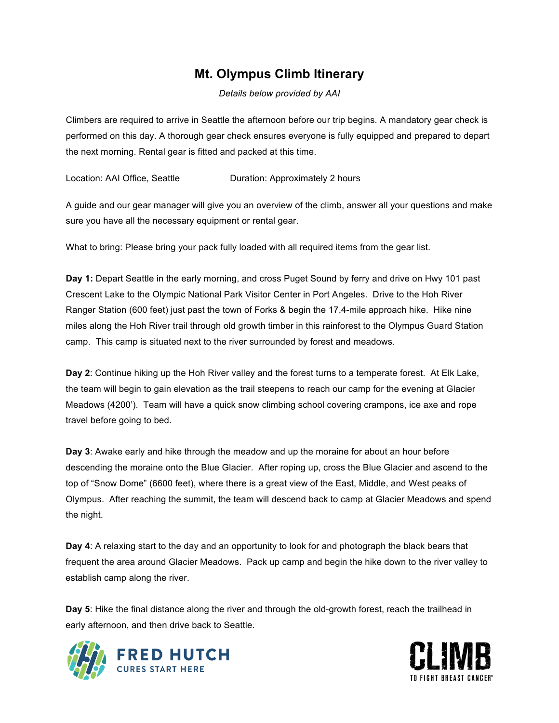# **Mt. Olympus Climb Itinerary**

*Details below provided by AAI*

Climbers are required to arrive in Seattle the afternoon before our trip begins. A mandatory gear check is performed on this day. A thorough gear check ensures everyone is fully equipped and prepared to depart the next morning. Rental gear is fitted and packed at this time.

Location: AAI Office, Seattle **Duration: Approximately 2 hours** 

A guide and our gear manager will give you an overview of the climb, answer all your questions and make sure you have all the necessary equipment or rental gear.

What to bring: Please bring your pack fully loaded with all required items from the gear list.

**Day 1:** Depart Seattle in the early morning, and cross Puget Sound by ferry and drive on Hwy 101 past Crescent Lake to the Olympic National Park Visitor Center in Port Angeles. Drive to the Hoh River Ranger Station (600 feet) just past the town of Forks & begin the 17.4-mile approach hike. Hike nine miles along the Hoh River trail through old growth timber in this rainforest to the Olympus Guard Station camp. This camp is situated next to the river surrounded by forest and meadows.

**Day 2**: Continue hiking up the Hoh River valley and the forest turns to a temperate forest. At Elk Lake, the team will begin to gain elevation as the trail steepens to reach our camp for the evening at Glacier Meadows (4200'). Team will have a quick snow climbing school covering crampons, ice axe and rope travel before going to bed.

**Day 3**: Awake early and hike through the meadow and up the moraine for about an hour before descending the moraine onto the Blue Glacier. After roping up, cross the Blue Glacier and ascend to the top of "Snow Dome" (6600 feet), where there is a great view of the East, Middle, and West peaks of Olympus. After reaching the summit, the team will descend back to camp at Glacier Meadows and spend the night.

**Day 4**: A relaxing start to the day and an opportunity to look for and photograph the black bears that frequent the area around Glacier Meadows. Pack up camp and begin the hike down to the river valley to establish camp along the river.

**Day 5**: Hike the final distance along the river and through the old-growth forest, reach the trailhead in early afternoon, and then drive back to Seattle.



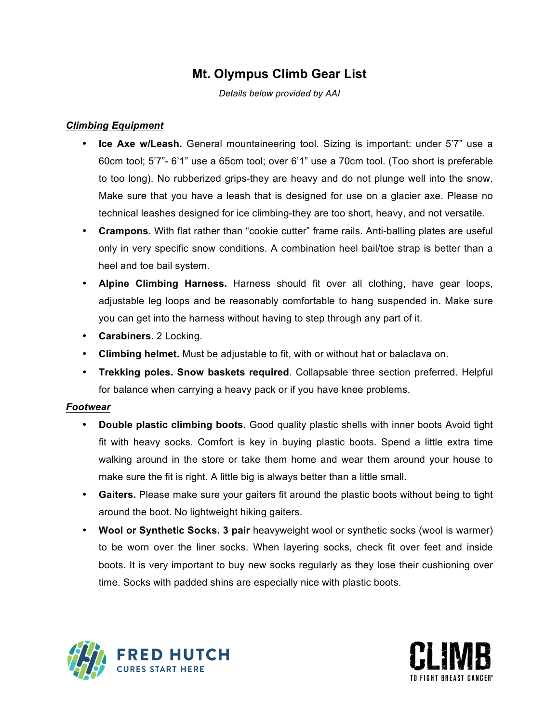# **Mt. Olympus Climb Gear List**

*Details below provided by AAI*

### *Climbing Equipment*

- **Ice Axe w/Leash.** General mountaineering tool. Sizing is important: under 5'7" use a 60cm tool; 5'7"- 6'1" use a 65cm tool; over 6'1" use a 70cm tool. (Too short is preferable to too long). No rubberized grips-they are heavy and do not plunge well into the snow. Make sure that you have a leash that is designed for use on a glacier axe. Please no technical leashes designed for ice climbing-they are too short, heavy, and not versatile.
- **Crampons.** With flat rather than "cookie cutter" frame rails. Anti-balling plates are useful only in very specific snow conditions. A combination heel bail/toe strap is better than a heel and toe bail system.
- **Alpine Climbing Harness.** Harness should fit over all clothing, have gear loops, adjustable leg loops and be reasonably comfortable to hang suspended in. Make sure you can get into the harness without having to step through any part of it.
- **Carabiners.** 2 Locking.
- **Climbing helmet.** Must be adjustable to fit, with or without hat or balaclava on.
- **Trekking poles. Snow baskets required**. Collapsable three section preferred. Helpful for balance when carrying a heavy pack or if you have knee problems.

### *Footwear*

- **Double plastic climbing boots.** Good quality plastic shells with inner boots Avoid tight fit with heavy socks. Comfort is key in buying plastic boots. Spend a little extra time walking around in the store or take them home and wear them around your house to make sure the fit is right. A little big is always better than a little small.
- **Gaiters.** Please make sure your gaiters fit around the plastic boots without being to tight around the boot. No lightweight hiking gaiters.
- **Wool or Synthetic Socks. 3 pair** heavyweight wool or synthetic socks (wool is warmer) to be worn over the liner socks. When layering socks, check fit over feet and inside boots. It is very important to buy new socks regularly as they lose their cushioning over time. Socks with padded shins are especially nice with plastic boots.



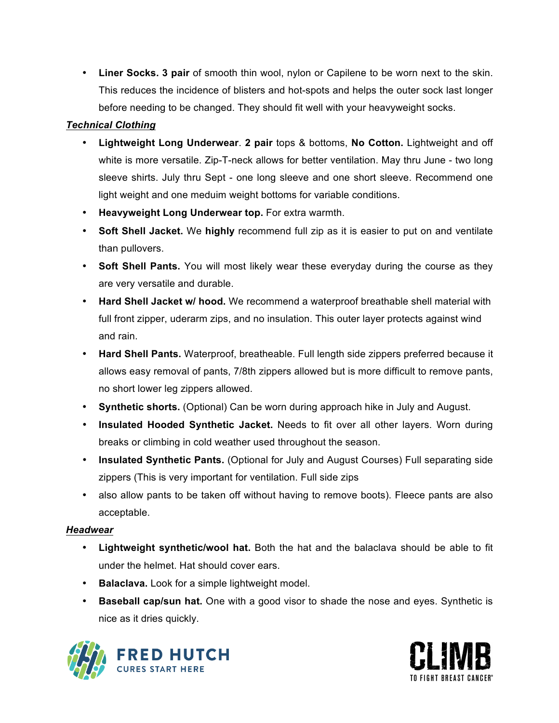• **Liner Socks. 3 pair** of smooth thin wool, nylon or Capilene to be worn next to the skin. This reduces the incidence of blisters and hot-spots and helps the outer sock last longer before needing to be changed. They should fit well with your heavyweight socks.

# *Technical Clothing*

- **Lightweight Long Underwear**. **2 pair** tops & bottoms, **No Cotton.** Lightweight and off white is more versatile. Zip-T-neck allows for better ventilation. May thru June - two long sleeve shirts. July thru Sept - one long sleeve and one short sleeve. Recommend one light weight and one meduim weight bottoms for variable conditions.
- **Heavyweight Long Underwear top.** For extra warmth.
- **Soft Shell Jacket.** We **highly** recommend full zip as it is easier to put on and ventilate than pullovers.
- **Soft Shell Pants.** You will most likely wear these everyday during the course as they are very versatile and durable.
- **Hard Shell Jacket w/ hood.** We recommend a waterproof breathable shell material with full front zipper, uderarm zips, and no insulation. This outer layer protects against wind and rain.
- **Hard Shell Pants.** Waterproof, breatheable. Full length side zippers preferred because it allows easy removal of pants, 7/8th zippers allowed but is more difficult to remove pants, no short lower leg zippers allowed.
- **Synthetic shorts.** (Optional) Can be worn during approach hike in July and August.
- **Insulated Hooded Synthetic Jacket.** Needs to fit over all other layers. Worn during breaks or climbing in cold weather used throughout the season.
- **Insulated Synthetic Pants.** (Optional for July and August Courses) Full separating side zippers (This is very important for ventilation. Full side zips
- also allow pants to be taken off without having to remove boots). Fleece pants are also acceptable.

## *Headwear*

- **Lightweight synthetic/wool hat.** Both the hat and the balaclava should be able to fit under the helmet. Hat should cover ears.
- **Balaclava.** Look for a simple lightweight model.
- **Baseball cap/sun hat.** One with a good visor to shade the nose and eyes. Synthetic is nice as it dries quickly.



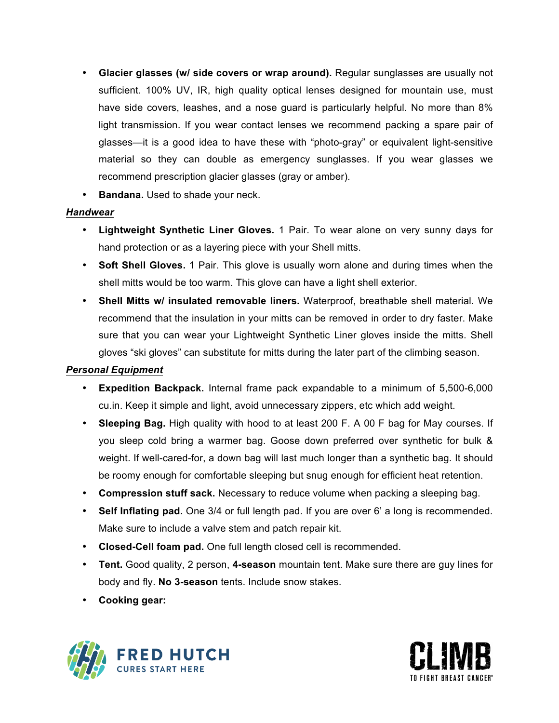- **Glacier glasses (w/ side covers or wrap around).** Regular sunglasses are usually not sufficient. 100% UV, IR, high quality optical lenses designed for mountain use, must have side covers, leashes, and a nose guard is particularly helpful. No more than 8% light transmission. If you wear contact lenses we recommend packing a spare pair of glasses—it is a good idea to have these with "photo-gray" or equivalent light-sensitive material so they can double as emergency sunglasses. If you wear glasses we recommend prescription glacier glasses (gray or amber).
- **Bandana.** Used to shade your neck.

## *Handwear*

- **Lightweight Synthetic Liner Gloves.** 1 Pair. To wear alone on very sunny days for hand protection or as a layering piece with your Shell mitts.
- **Soft Shell Gloves.** 1 Pair. This glove is usually worn alone and during times when the shell mitts would be too warm. This glove can have a light shell exterior.
- **Shell Mitts w/ insulated removable liners.** Waterproof, breathable shell material. We recommend that the insulation in your mitts can be removed in order to dry faster. Make sure that you can wear your Lightweight Synthetic Liner gloves inside the mitts. Shell gloves "ski gloves" can substitute for mitts during the later part of the climbing season.

## *Personal Equipment*

- **Expedition Backpack.** Internal frame pack expandable to a minimum of 5,500-6,000 cu.in. Keep it simple and light, avoid unnecessary zippers, etc which add weight.
- **Sleeping Bag.** High quality with hood to at least 200 F. A 00 F bag for May courses. If you sleep cold bring a warmer bag. Goose down preferred over synthetic for bulk & weight. If well-cared-for, a down bag will last much longer than a synthetic bag. It should be roomy enough for comfortable sleeping but snug enough for efficient heat retention.
- **Compression stuff sack.** Necessary to reduce volume when packing a sleeping bag.
- **Self Inflating pad.** One 3/4 or full length pad. If you are over 6' a long is recommended. Make sure to include a valve stem and patch repair kit.
- **Closed-Cell foam pad.** One full length closed cell is recommended.
- **Tent.** Good quality, 2 person, **4-season** mountain tent. Make sure there are guy lines for body and fly. **No 3-season** tents. Include snow stakes.
- **Cooking gear:**



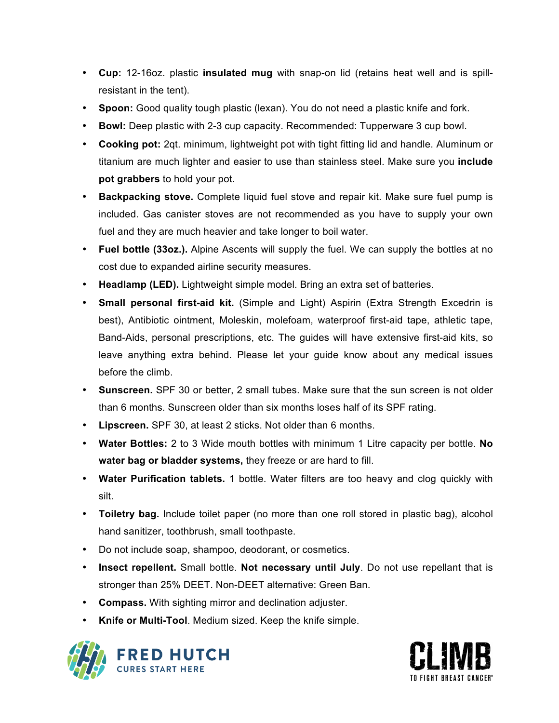- **Cup:** 12-16oz. plastic **insulated mug** with snap-on lid (retains heat well and is spillresistant in the tent).
- **Spoon:** Good quality tough plastic (lexan). You do not need a plastic knife and fork.
- **Bowl:** Deep plastic with 2-3 cup capacity. Recommended: Tupperware 3 cup bowl.
- **Cooking pot:** 2qt. minimum, lightweight pot with tight fitting lid and handle. Aluminum or titanium are much lighter and easier to use than stainless steel. Make sure you **include pot grabbers** to hold your pot.
- **Backpacking stove.** Complete liquid fuel stove and repair kit. Make sure fuel pump is included. Gas canister stoves are not recommended as you have to supply your own fuel and they are much heavier and take longer to boil water.
- **Fuel bottle (33oz.).** Alpine Ascents will supply the fuel. We can supply the bottles at no cost due to expanded airline security measures.
- **Headlamp (LED).** Lightweight simple model. Bring an extra set of batteries.
- **Small personal first-aid kit.** (Simple and Light) Aspirin (Extra Strength Excedrin is best), Antibiotic ointment, Moleskin, molefoam, waterproof first-aid tape, athletic tape, Band-Aids, personal prescriptions, etc. The guides will have extensive first-aid kits, so leave anything extra behind. Please let your guide know about any medical issues before the climb.
- **Sunscreen.** SPF 30 or better, 2 small tubes. Make sure that the sun screen is not older than 6 months. Sunscreen older than six months loses half of its SPF rating.
- **Lipscreen.** SPF 30, at least 2 sticks. Not older than 6 months.
- **Water Bottles:** 2 to 3 Wide mouth bottles with minimum 1 Litre capacity per bottle. **No water bag or bladder systems,** they freeze or are hard to fill.
- **Water Purification tablets.** 1 bottle. Water filters are too heavy and clog quickly with silt.
- **Toiletry bag.** Include toilet paper (no more than one roll stored in plastic bag), alcohol hand sanitizer, toothbrush, small toothpaste.
- Do not include soap, shampoo, deodorant, or cosmetics.
- **Insect repellent.** Small bottle. **Not necessary until July**. Do not use repellant that is stronger than 25% DEET. Non-DEET alternative: Green Ban.
- **Compass.** With sighting mirror and declination adjuster.
- **Knife or Multi-Tool**. Medium sized. Keep the knife simple.